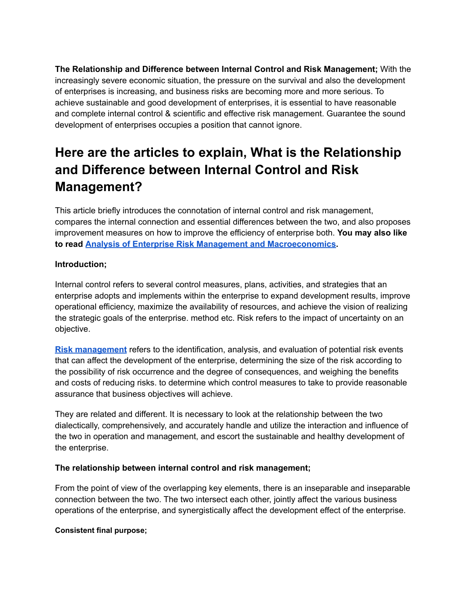**The Relationship and Difference between Internal Control and Risk Management;** With the increasingly severe economic situation, the pressure on the survival and also the development of enterprises is increasing, and business risks are becoming more and more serious. To achieve sustainable and good development of enterprises, it is essential to have reasonable and complete internal control & scientific and effective risk management. Guarantee the sound development of enterprises occupies a position that cannot ignore.

# **Here are the articles to explain, What is the Relationship and Difference between Internal Control and Risk Management?**

This article briefly introduces the connotation of internal control and risk management, compares the internal connection and essential differences between the two, and also proposes improvement measures on how to improve the efficiency of enterprise both. **You may also like to read Analysis of Enterprise Risk Management and [Macroeconomics.](https://www.ilearnlot.com/enterprise-risk-management-and-macroeconomics-analysis-pdf/65717/)**

# **Introduction;**

Internal control refers to several control measures, plans, activities, and strategies that an enterprise adopts and implements within the enterprise to expand development results, improve operational efficiency, maximize the availability of resources, and achieve the vision of realizing the strategic goals of the enterprise. method etc. Risk refers to the impact of uncertainty on an objective.

**Risk [management](https://www.ilearnlot.com/what-is-risk-management/896/)** refers to the identification, analysis, and evaluation of potential risk events that can affect the development of the enterprise, determining the size of the risk according to the possibility of risk occurrence and the degree of consequences, and weighing the benefits and costs of reducing risks. to determine which control measures to take to provide reasonable assurance that business objectives will achieve.

They are related and different. It is necessary to look at the relationship between the two dialectically, comprehensively, and accurately handle and utilize the interaction and influence of the two in operation and management, and escort the sustainable and healthy development of the enterprise.

### **The relationship between internal control and risk management;**

From the point of view of the overlapping key elements, there is an inseparable and inseparable connection between the two. The two intersect each other, jointly affect the various business operations of the enterprise, and synergistically affect the development effect of the enterprise.

### **Consistent final purpose;**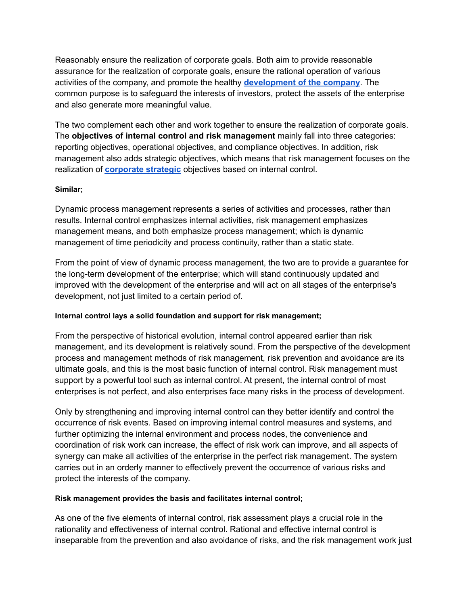Reasonably ensure the realization of corporate goals. Both aim to provide reasonable assurance for the realization of corporate goals, ensure the rational operation of various activities of the company, and promote the healthy **[development](https://www.ilearnlot.com/tag/iphone-app-development-company/) of the company**. The common purpose is to safeguard the interests of investors, protect the assets of the enterprise and also generate more meaningful value.

The two complement each other and work together to ensure the realization of corporate goals. The **objectives of internal control and risk management** mainly fall into three categories: reporting objectives, operational objectives, and compliance objectives. In addition, risk management also adds strategic objectives, which means that risk management focuses on the realization of **[corporate](https://www.ilearnlot.com/what-is-the-meaning-of-corporate-strategic-planning/65175/) strategic** objectives based on internal control.

### **Similar;**

Dynamic process management represents a series of activities and processes, rather than results. Internal control emphasizes internal activities, risk management emphasizes management means, and both emphasize process management; which is dynamic management of time periodicity and process continuity, rather than a static state.

From the point of view of dynamic process management, the two are to provide a guarantee for the long-term development of the enterprise; which will stand continuously updated and improved with the development of the enterprise and will act on all stages of the enterprise's development, not just limited to a certain period of.

### **Internal control lays a solid foundation and support for risk management;**

From the perspective of historical evolution, internal control appeared earlier than risk management, and its development is relatively sound. From the perspective of the development process and management methods of risk management, risk prevention and avoidance are its ultimate goals, and this is the most basic function of internal control. Risk management must support by a powerful tool such as internal control. At present, the internal control of most enterprises is not perfect, and also enterprises face many risks in the process of development.

Only by strengthening and improving internal control can they better identify and control the occurrence of risk events. Based on improving internal control measures and systems, and further optimizing the internal environment and process nodes, the convenience and coordination of risk work can increase, the effect of risk work can improve, and all aspects of synergy can make all activities of the enterprise in the perfect risk management. The system carries out in an orderly manner to effectively prevent the occurrence of various risks and protect the interests of the company.

### **Risk management provides the basis and facilitates internal control;**

As one of the five elements of internal control, risk assessment plays a crucial role in the rationality and effectiveness of internal control. Rational and effective internal control is inseparable from the prevention and also avoidance of risks, and the risk management work just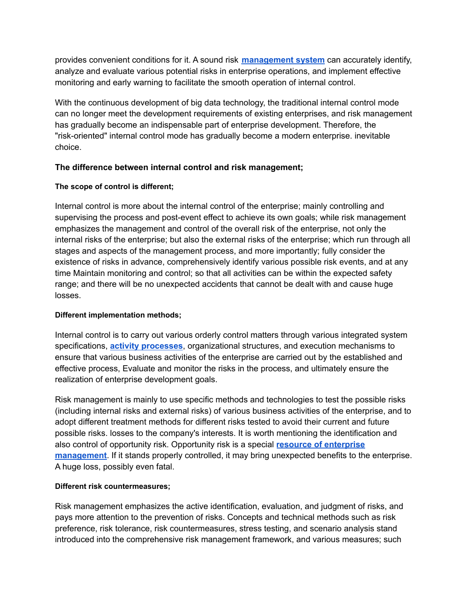provides convenient conditions for it. A sound risk **[management](https://www.ilearnlot.com/knowledge-management-systems/6099/) system** can accurately identify, analyze and evaluate various potential risks in enterprise operations, and implement effective monitoring and early warning to facilitate the smooth operation of internal control.

With the continuous development of big data technology, the traditional internal control mode can no longer meet the development requirements of existing enterprises, and risk management has gradually become an indispensable part of enterprise development. Therefore, the "risk-oriented" internal control mode has gradually become a modern enterprise. inevitable choice.

# **The difference between internal control and risk management;**

# **The scope of control is different;**

Internal control is more about the internal control of the enterprise; mainly controlling and supervising the process and post-event effect to achieve its own goals; while risk management emphasizes the management and control of the overall risk of the enterprise, not only the internal risks of the enterprise; but also the external risks of the enterprise; which run through all stages and aspects of the management process, and more importantly; fully consider the existence of risks in advance, comprehensively identify various possible risk events, and at any time Maintain monitoring and control; so that all activities can be within the expected safety range; and there will be no unexpected accidents that cannot be dealt with and cause huge losses.

# **Different implementation methods;**

Internal control is to carry out various orderly control matters through various integrated system specifications, **activity [processes](https://www.ilearnlot.com/efficacy-activated-processes/1730/)**, organizational structures, and execution mechanisms to ensure that various business activities of the enterprise are carried out by the established and effective process, Evaluate and monitor the risks in the process, and ultimately ensure the realization of enterprise development goals.

Risk management is mainly to use specific methods and technologies to test the possible risks (including internal risks and external risks) of various business activities of the enterprise, and to adopt different treatment methods for different risks tested to avoid their current and future possible risks. losses to the company's interests. It is worth mentioning the identification and also control of opportunity risk. Opportunity risk is a special **resource of [enterprise](https://www.ilearnlot.com/new-roles-of-human-resource-management-in-business-development/34323/) [management](https://www.ilearnlot.com/new-roles-of-human-resource-management-in-business-development/34323/)**. If it stands properly controlled, it may bring unexpected benefits to the enterprise. A huge loss, possibly even fatal.

# **Different risk countermeasures;**

Risk management emphasizes the active identification, evaluation, and judgment of risks, and pays more attention to the prevention of risks. Concepts and technical methods such as risk preference, risk tolerance, risk countermeasures, stress testing, and scenario analysis stand introduced into the comprehensive risk management framework, and various measures; such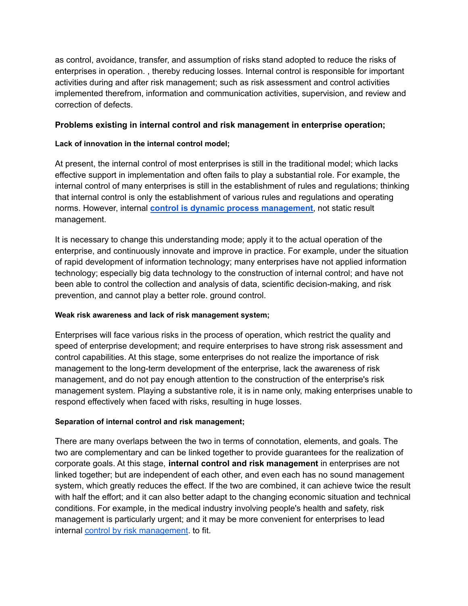as control, avoidance, transfer, and assumption of risks stand adopted to reduce the risks of enterprises in operation. , thereby reducing losses. Internal control is responsible for important activities during and after risk management; such as risk assessment and control activities implemented therefrom, information and communication activities, supervision, and review and correction of defects.

## **Problems existing in internal control and risk management in enterprise operation;**

## **Lack of innovation in the internal control model;**

At present, the internal control of most enterprises is still in the traditional model; which lacks effective support in implementation and often fails to play a substantial role. For example, the internal control of many enterprises is still in the establishment of rules and regulations; thinking that internal control is only the establishment of various rules and regulations and operating norms. However, internal **control is dynamic process [management](https://www.ilearnlot.com/definition-purpose-strategies-of-management-control-essay/65002/)**, not static result management.

It is necessary to change this understanding mode; apply it to the actual operation of the enterprise, and continuously innovate and improve in practice. For example, under the situation of rapid development of information technology; many enterprises have not applied information technology; especially big data technology to the construction of internal control; and have not been able to control the collection and analysis of data, scientific decision-making, and risk prevention, and cannot play a better role. ground control.

### **Weak risk awareness and lack of risk management system;**

Enterprises will face various risks in the process of operation, which restrict the quality and speed of enterprise development; and require enterprises to have strong risk assessment and control capabilities. At this stage, some enterprises do not realize the importance of risk management to the long-term development of the enterprise, lack the awareness of risk management, and do not pay enough attention to the construction of the enterprise's risk management system. Playing a substantive role, it is in name only, making enterprises unable to respond effectively when faced with risks, resulting in huge losses.

### **Separation of internal control and risk management;**

There are many overlaps between the two in terms of connotation, elements, and goals. The two are complementary and can be linked together to provide guarantees for the realization of corporate goals. At this stage, **internal control and risk management** in enterprises are not linked together; but are independent of each other, and even each has no sound management system, which greatly reduces the effect. If the two are combined, it can achieve twice the result with half the effort; and it can also better adapt to the changing economic situation and technical conditions. For example, in the medical industry involving people's health and safety, risk management is particularly urgent; and it may be more convenient for enterprises to lead internal control by risk [management](https://www.ilearnlot.com/definition-purpose-strategies-of-management-control-essay/65002/). to fit.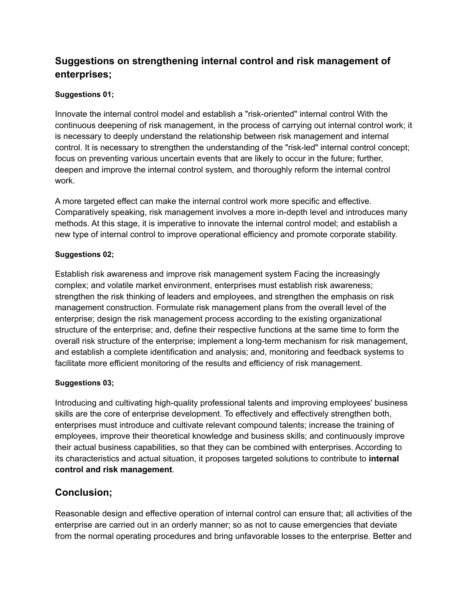# **Suggestions on strengthening internal control and risk management of enterprises;**

# **Suggestions 01;**

Innovate the internal control model and establish a "risk-oriented" internal control With the continuous deepening of risk management, in the process of carrying out internal control work; it is necessary to deeply understand the relationship between risk management and internal control. It is necessary to strengthen the understanding of the "risk-led" internal control concept; focus on preventing various uncertain events that are likely to occur in the future; further, deepen and improve the internal control system, and thoroughly reform the internal control work.

A more targeted effect can make the internal control work more specific and effective. Comparatively speaking, risk management involves a more in-depth level and introduces many methods. At this stage, it is imperative to innovate the internal control model; and establish a new type of internal control to improve operational efficiency and promote corporate stability.

### **Suggestions 02;**

Establish risk awareness and improve risk management system Facing the increasingly complex; and volatile market environment, enterprises must establish risk awareness; strengthen the risk thinking of leaders and employees, and strengthen the emphasis on risk management construction. Formulate risk management plans from the overall level of the enterprise; design the risk management process according to the existing organizational structure of the enterprise; and, define their respective functions at the same time to form the overall risk structure of the enterprise; implement a long-term mechanism for risk management, and establish a complete identification and analysis; and, monitoring and feedback systems to facilitate more efficient monitoring of the results and efficiency of risk management.

# **Suggestions 03;**

Introducing and cultivating high-quality professional talents and improving employees' business skills are the core of enterprise development. To effectively and effectively strengthen both, enterprises must introduce and cultivate relevant compound talents; increase the training of employees, improve their theoretical knowledge and business skills; and continuously improve their actual business capabilities, so that they can be combined with enterprises. According to its characteristics and actual situation, it proposes targeted solutions to contribute to **internal control and risk management**.

# **Conclusion;**

Reasonable design and effective operation of internal control can ensure that; all activities of the enterprise are carried out in an orderly manner; so as not to cause emergencies that deviate from the normal operating procedures and bring unfavorable losses to the enterprise. Better and